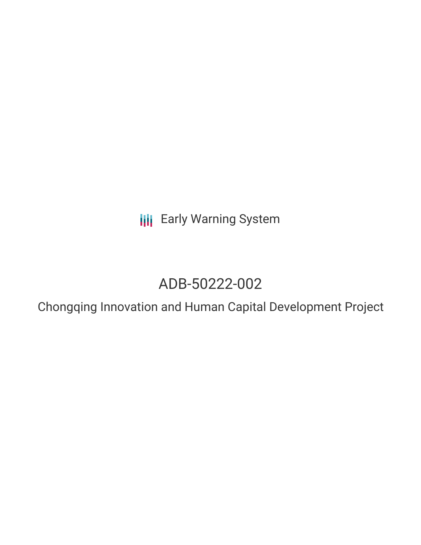**III** Early Warning System

# ADB-50222-002

Chongqing Innovation and Human Capital Development Project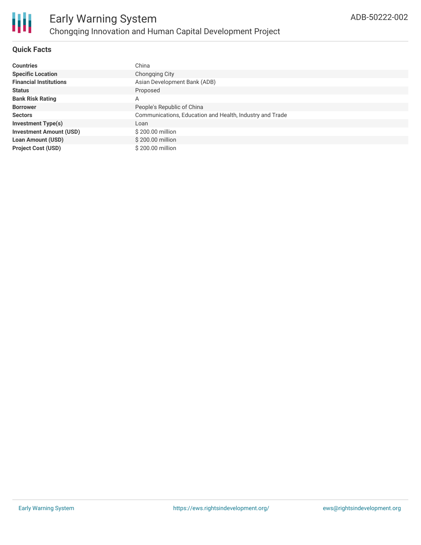# **Quick Facts**

| <b>Countries</b>               | China                                                    |
|--------------------------------|----------------------------------------------------------|
| <b>Specific Location</b>       | Chongging City                                           |
| <b>Financial Institutions</b>  | Asian Development Bank (ADB)                             |
| <b>Status</b>                  | Proposed                                                 |
| <b>Bank Risk Rating</b>        | Α                                                        |
| <b>Borrower</b>                | People's Republic of China                               |
| <b>Sectors</b>                 | Communications, Education and Health, Industry and Trade |
| <b>Investment Type(s)</b>      | Loan                                                     |
| <b>Investment Amount (USD)</b> | \$200.00 million                                         |
| <b>Loan Amount (USD)</b>       | \$200.00 million                                         |
| <b>Project Cost (USD)</b>      | \$200.00 million                                         |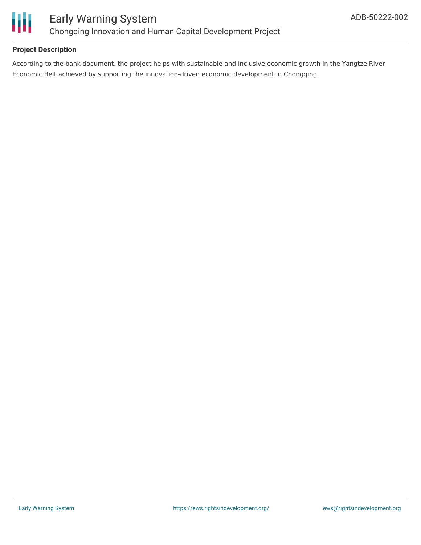

# **Project Description**

According to the bank document, the project helps with sustainable and inclusive economic growth in the Yangtze River Economic Belt achieved by supporting the innovation-driven economic development in Chongqing.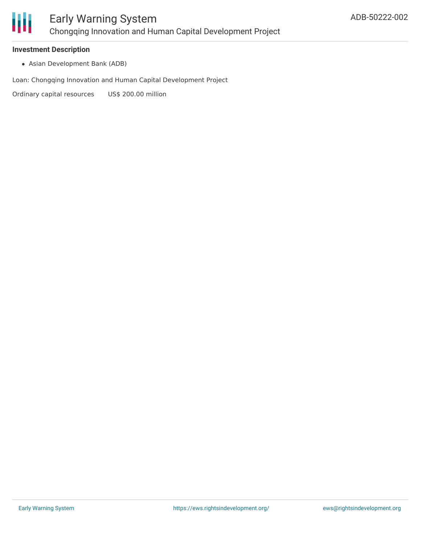

#### **Investment Description**

Asian Development Bank (ADB)

Loan: Chongqing Innovation and Human Capital Development Project

Ordinary capital resources US\$ 200.00 million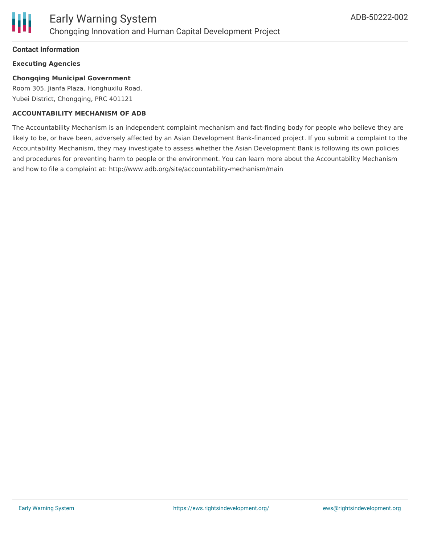

### **Contact Information**

## **Executing Agencies**

## **Chongqing Municipal Government**

Room 305, Jianfa Plaza, Honghuxilu Road, Yubei District, Chongqing, PRC 401121

#### **ACCOUNTABILITY MECHANISM OF ADB**

The Accountability Mechanism is an independent complaint mechanism and fact-finding body for people who believe they are likely to be, or have been, adversely affected by an Asian Development Bank-financed project. If you submit a complaint to the Accountability Mechanism, they may investigate to assess whether the Asian Development Bank is following its own policies and procedures for preventing harm to people or the environment. You can learn more about the Accountability Mechanism and how to file a complaint at: http://www.adb.org/site/accountability-mechanism/main